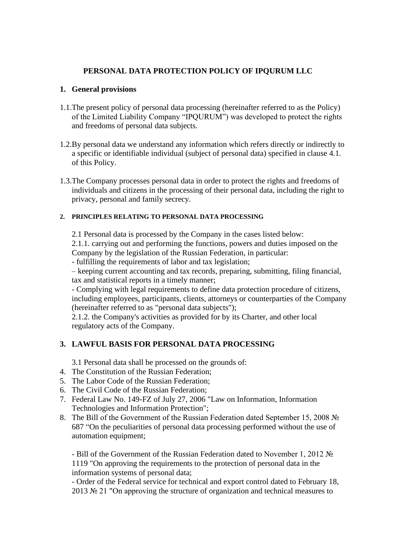# **PERSONAL DATA PROTECTION POLICY OF IPQURUM LLC**

### **1. General provisions**

- 1.1.The present policy of personal data processing (hereinafter referred to as the Policy) of the Limited Liability Company "IPQURUM") was developed to protect the rights and freedoms of personal data subjects.
- 1.2.By personal data we understand any information which refers directly or indirectly to a specific or identifiable individual (subject of personal data) specified in clause 4.1. of this Policy.
- 1.3.The Company processes personal data in order to protect the rights and freedoms of individuals and citizens in the processing of their personal data, including the right to privacy, personal and family secrecy.

#### **2. PRINCIPLES RELATING TO PERSONAL DATA PROCESSING**

2.1 Personal data is processed by the Company in the cases listed below:

2.1.1. carrying out and performing the functions, powers and duties imposed on the Company by the legislation of the Russian Federation, in particular:

- fulfilling the requirements of labor and tax legislation;

– keeping current accounting and tax records, preparing, submitting, filing financial, tax and statistical reports in a timely manner;

- Complying with legal requirements to define data protection procedure of citizens, including employees, participants, clients, attorneys or counterparties of the Company (hereinafter referred to as "personal data subjects");

2.1.2. the Company's activities as provided for by its Charter, and other local regulatory acts of the Company.

# **3. LAWFUL BASIS FOR PERSONAL DATA PROCESSING**

3.1 Personal data shall be processed on the grounds of:

- 4. The Constitution of the Russian Federation;
- 5. The Labor Code of the Russian Federation;
- 6. The Civil Code of the Russian Federation;
- 7. Federal Law No. 149-FZ of July 27, 2006 "Law on Information, Information Technologies and Information Protection";
- 8. The Bill of the Government of the Russian Federation dated September 15, 2008 № 687 "On the peculiarities of personal data processing performed without the use of automation equipment;

- Bill of the Government of the Russian Federation dated to November 1, 2012 № 1119 "On approving the requirements to the protection of personal data in the information systems of personal data;

- Order of the Federal service for technical and export control dated to February 18, 2013 № 21 "On approving the structure of organization and technical measures to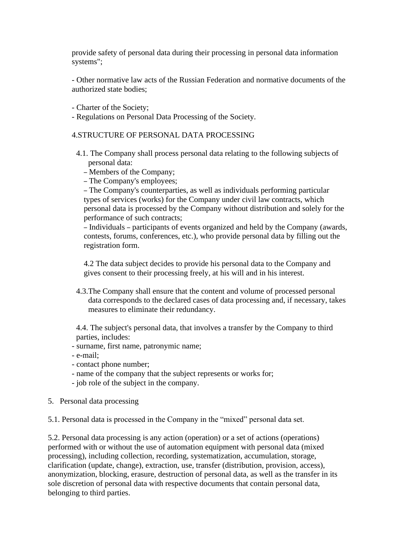provide safety of personal data during their processing in personal data information systems";

- Other normative law acts of the Russian Federation and normative documents of the authorized state bodies;

- Charter of the Society;
- Regulations on Personal Data Processing of the Society.

### 4.STRUCTURE OF PERSONAL DATA PROCESSING

- 4.1. The Company shall process personal data relating to the following subjects of personal data:
	- Members of the Company;
	- The Company's employees;

– The Company's counterparties, as well as individuals performing particular types of services (works) for the Company under civil law contracts, which personal data is processed by the Company without distribution and solely for the performance of such contracts;

– Individuals – participants of events organized and held by the Company (awards, contests, forums, conferences, etc.), who provide personal data by filling out the registration form.

4.2 The data subject decides to provide his personal data to the Company and gives consent to their processing freely, at his will and in his interest.

4.3.The Company shall ensure that the content and volume of processed personal data corresponds to the declared cases of data processing and, if necessary, takes measures to eliminate their redundancy.

4.4. The subject's personal data, that involves a transfer by the Company to third parties, includes:

- surname, first name, patronymic name;
- e-mail;
- contact phone number;
- name of the company that the subject represents or works for;
- job role of the subject in the company.
- 5. Personal data processing

5.1. Personal data is processed in the Company in the "mixed" personal data set.

5.2. Personal data processing is any action (operation) or a set of actions (operations) performed with or without the use of automation equipment with personal data (mixed processing), including collection, recording, systematization, accumulation, storage, clarification (update, change), extraction, use, transfer (distribution, provision, access), anonymization, blocking, erasure, destruction of personal data, as well as the transfer in its sole discretion of personal data with respective documents that contain personal data, belonging to third parties.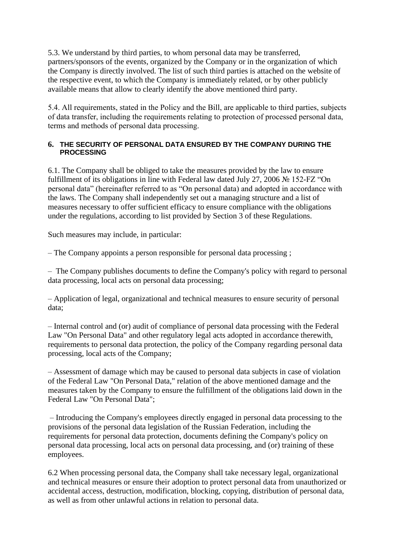5.3. We understand by third parties, to whom personal data may be transferred, partners/sponsors of the events, organized by the Company or in the organization of which the Company is directly involved. The list of such third parties is attached on the website of the respective event, to which the Company is immediately related, or by other publicly available means that allow to clearly identify the above mentioned third party.

5.4. All requirements, stated in the Policy and the Bill, are applicable to third parties, subjects of data transfer, including the requirements relating to protection of processed personal data, terms and methods of personal data processing.

### **6. THE SECURITY OF PERSONAL DATA ENSURED BY THE COMPANY DURING THE PROCESSING**

6.1. The Company shall be obliged to take the measures provided by the law to ensure fulfillment of its obligations in line with Federal law dated July 27, 2006 № 152-FZ "On personal data" (hereinafter referred to as "On personal data) and adopted in accordance with the laws. The Company shall independently set out a managing structure and a list of measures necessary to offer sufficient efficacy to ensure compliance with the obligations under the regulations, according to list provided by Section 3 of these Regulations.

Such measures may include, in particular:

– The Company appoints a person responsible for personal data processing ;

– The Company publishes documents to define the Company's policy with regard to personal data processing, local acts on personal data processing;

– Application of legal, organizational and technical measures to ensure security of personal data;

– Internal control and (or) audit of compliance of personal data processing with the Federal Law "On Personal Data" and other regulatory legal acts adopted in accordance therewith, requirements to personal data protection, the policy of the Company regarding personal data processing, local acts of the Company;

– Assessment of damage which may be caused to personal data subjects in case of violation of the Federal Law "On Personal Data," relation of the above mentioned damage and the measures taken by the Company to ensure the fulfillment of the obligations laid down in the Federal Law "On Personal Data";

– Introducing the Company's employees directly engaged in personal data processing to the provisions of the personal data legislation of the Russian Federation, including the requirements for personal data protection, documents defining the Company's policy on personal data processing, local acts on personal data processing, and (or) training of these employees.

6.2 When processing personal data, the Company shall take necessary legal, organizational and technical measures or ensure their adoption to protect personal data from unauthorized or accidental access, destruction, modification, blocking, copying, distribution of personal data, as well as from other unlawful actions in relation to personal data.